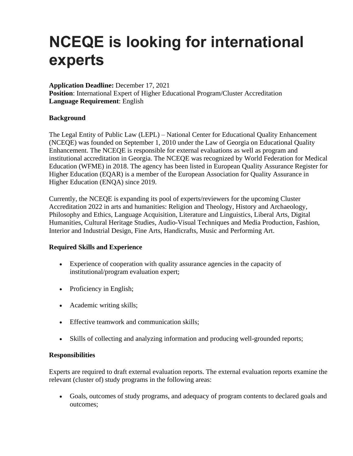# **NCEQE is looking for international experts**

**Application Deadline:** December 17, 2021 **Position**: International Expert of Higher Educational Program/Cluster Accreditation **Language Requirement**: English

## **Background**

The Legal Entity of Public Law (LEPL) – National Center for Educational Quality Enhancement (NCEQE) was founded on September 1, 2010 under the Law of Georgia on Educational Quality Enhancement. The NCEQE is responsible for external evaluations as well as program and institutional accreditation in Georgia. The NCEQE was recognized by World Federation for Medical Education (WFME) in 2018. The agency has been listed in European Quality Assurance Register for Higher Education (EQAR) is a member of the European Association for Quality Assurance in Higher Education (ENQA) since 2019.

Currently, the NCEQE is expanding its pool of experts/reviewers for the upcoming Cluster Accreditation 2022 in arts and humanities: Religion and Theology, History and Archaeology, Philosophy and Ethics, Language Acquisition, Literature and Linguistics, Liberal Arts, Digital Humanities, Cultural Heritage Studies, Audio-Visual Techniques and Media Production, Fashion, Interior and Industrial Design, Fine Arts, Handicrafts, Music and Performing Art.

#### **Required Skills and Experience**

- Experience of cooperation with quality assurance agencies in the capacity of institutional/program evaluation expert;
- Proficiency in English;
- Academic writing skills;
- Effective teamwork and communication skills;
- Skills of collecting and analyzing information and producing well-grounded reports;

#### **Responsibilities**

Experts are required to draft external evaluation reports. The external evaluation reports examine the relevant (cluster of) study programs in the following areas:

• Goals, outcomes of study programs, and adequacy of program contents to declared goals and outcomes;